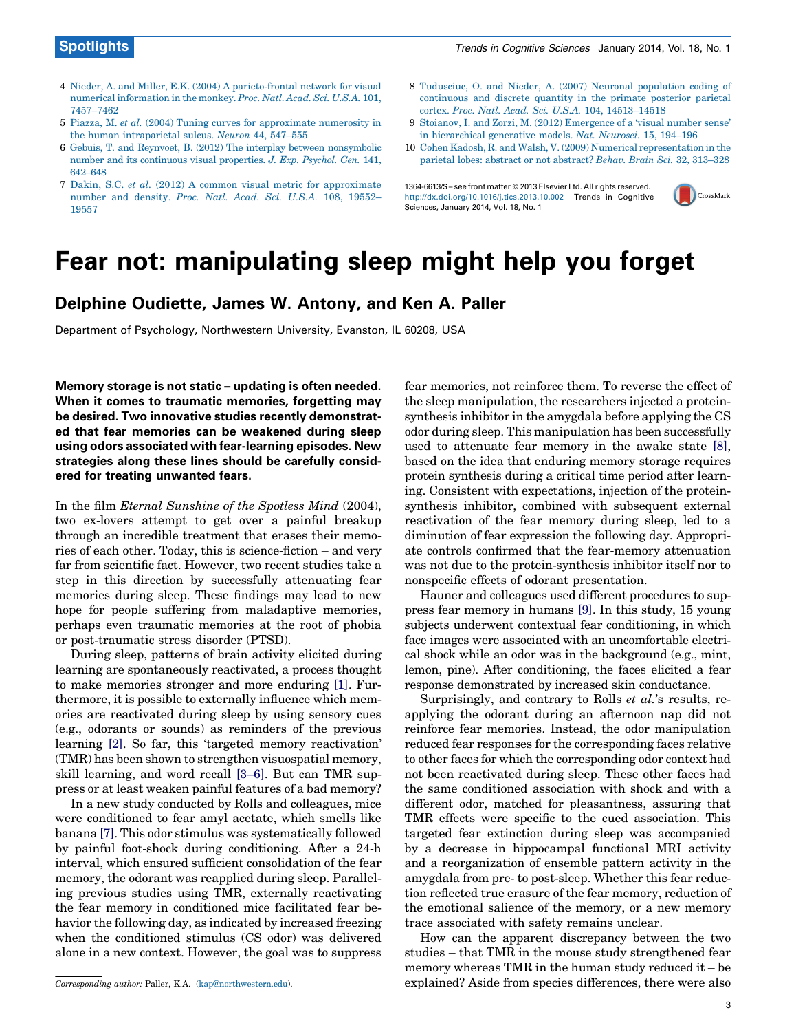- 4 Nieder, A. and Miller, E.K. (2004) A [parieto-frontal](http://refhub.elsevier.com/S1364-6613(13)00223-4/sbref0020) network for visual numerical [information](http://refhub.elsevier.com/S1364-6613(13)00223-4/sbref0020) in the monkey. Proc. Natl. Acad. Sci. U.S.A. 101, [7457–7462](http://refhub.elsevier.com/S1364-6613(13)00223-4/sbref0020)
- 5 Piazza, M. et al. (2004) Tuning curves for [approximate](http://refhub.elsevier.com/S1364-6613(13)00223-4/sbref0025) numerosity in the human [intraparietal](http://refhub.elsevier.com/S1364-6613(13)00223-4/sbref0025) sulcus. Neuron 44, 547–555
- 6 Gebuis, T. and Reynvoet, B. (2012) The interplay between [nonsymbolic](http://refhub.elsevier.com/S1364-6613(13)00223-4/sbref0030) number and its [continuous](http://refhub.elsevier.com/S1364-6613(13)00223-4/sbref0030) visual properties. J. Exp. Psychol. Gen. 141, [642–648](http://refhub.elsevier.com/S1364-6613(13)00223-4/sbref0030)
- 7 Dakin, S.C. et al. (2012) A common visual metric for [approximate](http://refhub.elsevier.com/S1364-6613(13)00223-4/sbref0035) number and [density.](http://refhub.elsevier.com/S1364-6613(13)00223-4/sbref0035) Proc. Natl. Acad. Sci. U.S.A. 108, 19552– [19557](http://refhub.elsevier.com/S1364-6613(13)00223-4/sbref0035)
- 8 [Tudusciuc,](http://refhub.elsevier.com/S1364-6613(13)00223-4/sbref0040) O. and Nieder, A. (2007) Neuronal population coding of [continuous](http://refhub.elsevier.com/S1364-6613(13)00223-4/sbref0040) and discrete quantity in the primate posterior parietal cortex. Proc. Natl. Acad. Sci. U.S.A. 104, [14513–14518](http://refhub.elsevier.com/S1364-6613(13)00223-4/sbref0040)
- 9 Stoianov, I. and Zorzi, M. (2012) [Emergence](http://refhub.elsevier.com/S1364-6613(13)00223-4/sbref0045) of a 'visual number sense' in [hierarchical](http://refhub.elsevier.com/S1364-6613(13)00223-4/sbref0045) generative models. Nat. Neurosci. 15, 194–196
- 10 Cohen Kadosh, R. and Walsh, V. (2009) Numerical [representation](http://refhub.elsevier.com/S1364-6613(13)00223-4/sbref0050) in the parietal lobes: abstract or not [abstract?](http://refhub.elsevier.com/S1364-6613(13)00223-4/sbref0050) Behav. Brain Sci. 32, 313–328

1364-6613/\$ – see front matter © 2013 Elsevier Ltd. All rights reserved. <http://dx.doi.org/10.1016/j.tics.2013.10.002> Trends in Cognitive Sciences, January 2014, Vol. 18, No. 1



# Fear not: manipulating sleep might help you forget

Delphine Oudiette, James W. Antony, and Ken A. Paller

Department of Psychology, Northwestern University, Evanston, IL 60208, USA

Memory storage is not static – updating is often needed. When it comes to traumatic memories, forgetting may be desired. Two innovative studies recently demonstrated that fear memories can be weakened during sleep using odors associated with fear-learning episodes. New strategies along these lines should be carefully considered for treating unwanted fears.

In the film Eternal Sunshine of the Spotless Mind (2004), two ex-lovers attempt to get over a painful breakup through an incredible treatment that erases their memories of each other. Today, this is science-fiction – and very far from scientific fact. However, two recent studies take a step in this direction by successfully attenuating fear memories during sleep. These findings may lead to new hope for people suffering from maladaptive memories, perhaps even traumatic memories at the root of phobia or post-traumatic stress disorder (PTSD).

During sleep, patterns of brain activity elicited during learning are spontaneously reactivated, a process thought to make memories stronger and more enduring [\[1\]](#page-1-0). Furthermore, it is possible to externally influence which memories are reactivated during sleep by using sensory cues (e.g., odorants or sounds) as reminders of the previous learning [\[2\].](#page-1-0) So far, this 'targeted memory reactivation' (TMR) has been shown to strengthen visuospatial memory, skill learning, and word recall [3–6]. But can TMR suppress or at least weaken painful features of a bad memory?

In a new study conducted by Rolls and colleagues, mice were conditioned to fear amyl acetate, which smells like banana [\[7\]](#page-1-0). This odor stimulus was systematically followed by painful foot-shock during conditioning. After a 24-h interval, which ensured sufficient consolidation of the fear memory, the odorant was reapplied during sleep. Paralleling previous studies using TMR, externally reactivating the fear memory in conditioned mice facilitated fear behavior the following day, as indicated by increased freezing when the conditioned stimulus (CS odor) was delivered alone in a new context. However, the goal was to suppress fear memories, not reinforce them. To reverse the effect of the sleep manipulation, the researchers injected a proteinsynthesis inhibitor in the amygdala before applying the CS odor during sleep. This manipulation has been successfully used to attenuate fear memory in the awake state [\[8\]](#page-1-0), based on the idea that enduring memory storage requires protein synthesis during a critical time period after learning. Consistent with expectations, injection of the proteinsynthesis inhibitor, combined with subsequent external reactivation of the fear memory during sleep, led to a diminution of fear expression the following day. Appropriate controls confirmed that the fear-memory attenuation was not due to the protein-synthesis inhibitor itself nor to nonspecific effects of odorant presentation.

Hauner and colleagues used different procedures to suppress fear memory in humans [\[9\]](#page-1-0). In this study, 15 young subjects underwent contextual fear conditioning, in which face images were associated with an uncomfortable electrical shock while an odor was in the background (e.g., mint, lemon, pine). After conditioning, the faces elicited a fear response demonstrated by increased skin conductance.

Surprisingly, and contrary to Rolls et al.'s results, reapplying the odorant during an afternoon nap did not reinforce fear memories. Instead, the odor manipulation reduced fear responses for the corresponding faces relative to other faces for which the corresponding odor context had not been reactivated during sleep. These other faces had the same conditioned association with shock and with a different odor, matched for pleasantness, assuring that TMR effects were specific to the cued association. This targeted fear extinction during sleep was accompanied by a decrease in hippocampal functional MRI activity and a reorganization of ensemble pattern activity in the amygdala from pre- to post-sleep. Whether this fear reduction reflected true erasure of the fear memory, [reduction](http://refhub.elsevier.com/S1364-6613(13)00223-4/sbref0005) of the [emotional](http://refhub.elsevier.com/S1364-6613(13)00223-4/sbref0005) salience of the memory, or a new memory trace [associated](http://refhub.elsevier.com/S1364-6613(13)00223-4/sbref0010) with safety remains unclear.

How can the apparent [discrepancy](http://refhub.elsevier.com/S1364-6613(13)00223-4/sbref0010) between the two studies – that TMR in the mouse study [strengthened](http://refhub.elsevier.com/S1364-6613(13)00223-4/sbref0015) fear memory [whereas](http://refhub.elsevier.com/S1364-6613(13)00223-4/sbref0015) TMR in the human study reduced it – be Corresponding author: Paller, K.A. [\(kap@n](mailto:kap@northwestern.edu)[orthwestern.edu\).](mailto:roi.cohenkadosh@psy.ox.ac.uk) expl[ained?](http://refhub.elsevier.com/S1364-6613(13)00223-4/sbref0015) Aside from species differences, there were also